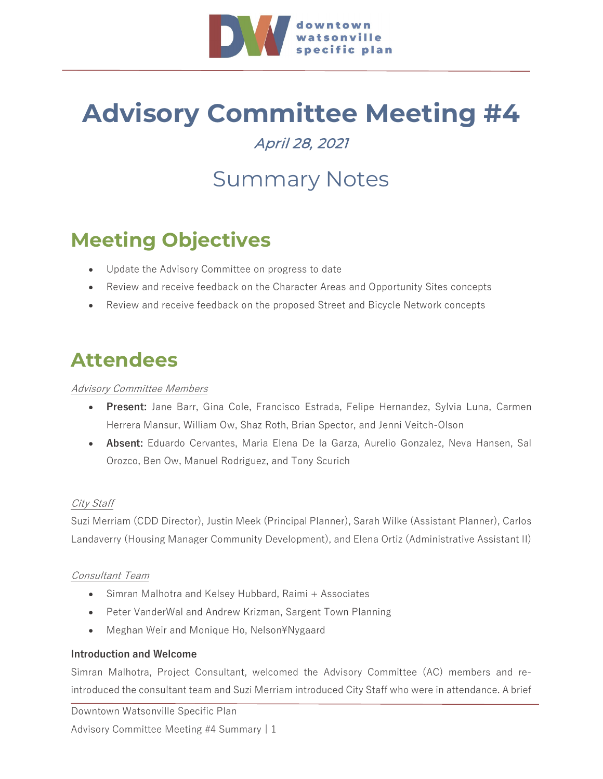

# **Advisory Committee Meeting #4**

### April 28, 2021

## Summary Notes

### **Meeting Objectives**

- Update the Advisory Committee on progress to date
- Review and receive feedback on the Character Areas and Opportunity Sites concepts
- Review and receive feedback on the proposed Street and Bicycle Network concepts

### **Attendees**

#### Advisory Committee Members

- **Present:** Jane Barr, Gina Cole, Francisco Estrada, Felipe Hernandez, Sylvia Luna, Carmen Herrera Mansur, William Ow, Shaz Roth, Brian Spector, and Jenni Veitch-Olson
- **Absent:** Eduardo Cervantes, Maria Elena De la Garza, Aurelio Gonzalez, Neva Hansen, Sal Orozco, Ben Ow, Manuel Rodriguez, and Tony Scurich

#### City Staff

Suzi Merriam (CDD Director), Justin Meek (Principal Planner), Sarah Wilke (Assistant Planner), Carlos Landaverry (Housing Manager Community Development), and Elena Ortiz (Administrative Assistant II)

#### Consultant Team

- Simran Malhotra and Kelsey Hubbard, Raimi + Associates
- Peter VanderWal and Andrew Krizman, Sargent Town Planning
- Meghan Weir and Monique Ho, Nelson¥Nygaard

#### **Introduction and Welcome**

Simran Malhotra, Project Consultant, welcomed the Advisory Committee (AC) members and reintroduced the consultant team and Suzi Merriam introduced City Staff who were in attendance. A brief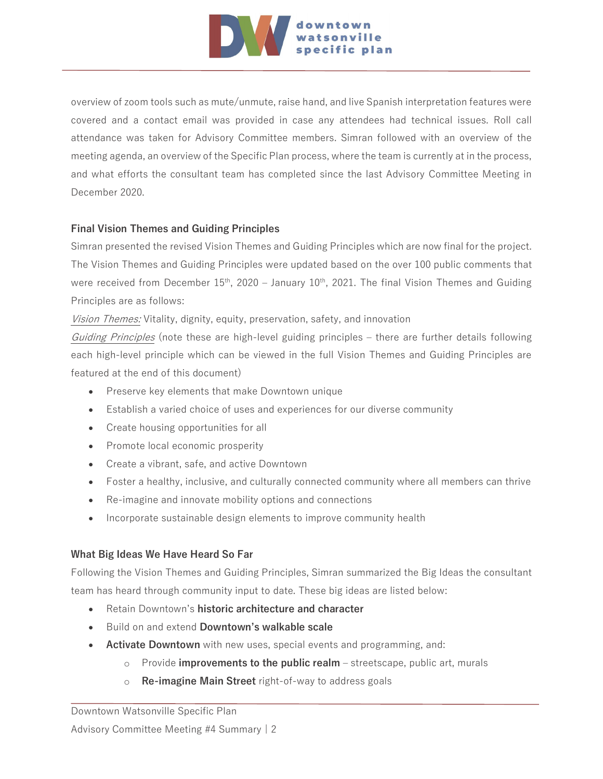

overview of zoom tools such as mute/unmute, raise hand, and live Spanish interpretation features were covered and a contact email was provided in case any attendees had technical issues. Roll call attendance was taken for Advisory Committee members. Simran followed with an overview of the meeting agenda, an overview of the Specific Plan process, where the team is currently at in the process, and what efforts the consultant team has completed since the last Advisory Committee Meeting in December 2020.

#### **Final Vision Themes and Guiding Principles**

Simran presented the revised Vision Themes and Guiding Principles which are now final for the project. The Vision Themes and Guiding Principles were updated based on the over 100 public comments that were received from December  $15<sup>th</sup>$ , 2020 – January  $10<sup>th</sup>$ , 2021. The final Vision Themes and Guiding Principles are as follows:

Vision Themes: Vitality, dignity, equity, preservation, safety, and innovation

Guiding Principles (note these are high-level guiding principles – there are further details following each high-level principle which can be viewed in the full Vision Themes and Guiding Principles are featured at the end of this document)

- Preserve key elements that make Downtown unique
- Establish a varied choice of uses and experiences for our diverse community
- Create housing opportunities for all
- Promote local economic prosperity
- Create a vibrant, safe, and active Downtown
- Foster a healthy, inclusive, and culturally connected community where all members can thrive
- Re-imagine and innovate mobility options and connections
- Incorporate sustainable design elements to improve community health

#### **What Big Ideas We Have Heard So Far**

Following the Vision Themes and Guiding Principles, Simran summarized the Big Ideas the consultant team has heard through community input to date. These big ideas are listed below:

- Retain Downtown's **historic architecture and character**
- Build on and extend **Downtown's walkable scale**
- **Activate Downtown** with new uses, special events and programming, and:
	- o Provide **improvements to the public realm**  streetscape, public art, murals
	- o **Re-imagine Main Street** right-of-way to address goals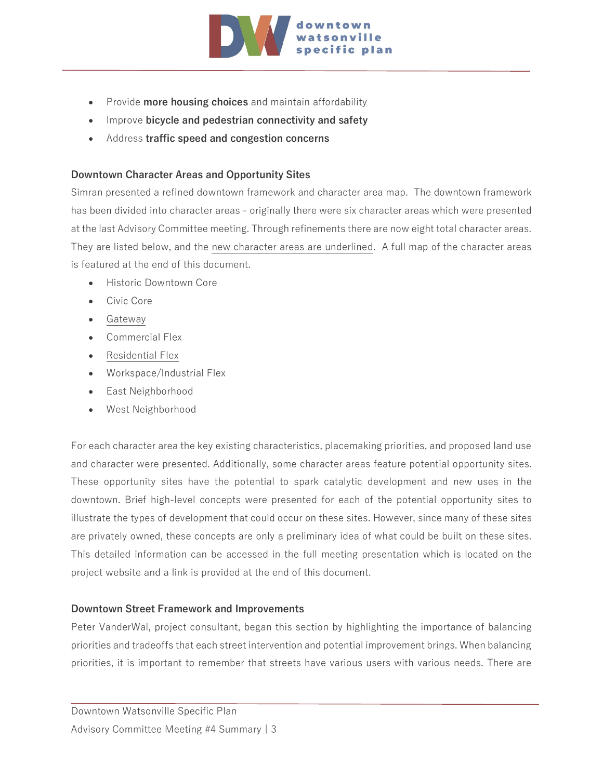

- Provide **more housing choices** and maintain affordability
- Improve **bicycle and pedestrian connectivity and safety**
- Address **traffic speed and congestion concerns**

#### **Downtown Character Areas and Opportunity Sites**

Simran presented a refined downtown framework and character area map. The downtown framework has been divided into character areas - originally there were six character areas which were presented at the last Advisory Committee meeting. Through refinements there are now eight total character areas. They are listed below, and the new character areas are underlined. A full map of the character areas is featured at the end of this document.

- Historic Downtown Core
- Civic Core
- Gateway
- Commercial Flex
- Residential Flex
- Workspace/Industrial Flex
- East Neighborhood
- West Neighborhood

For each character area the key existing characteristics, placemaking priorities, and proposed land use and character were presented. Additionally, some character areas feature potential opportunity sites. These opportunity sites have the potential to spark catalytic development and new uses in the downtown. Brief high-level concepts were presented for each of the potential opportunity sites to illustrate the types of development that could occur on these sites. However, since many of these sites are privately owned, these concepts are only a preliminary idea of what could be built on these sites. This detailed information can be accessed in the full meeting presentation which is located on the project website and a link is provided at the end of this document.

#### **Downtown Street Framework and Improvements**

Peter VanderWal, project consultant, began this section by highlighting the importance of balancing priorities and tradeoffs that each street intervention and potential improvement brings. When balancing priorities, it is important to remember that streets have various users with various needs. There are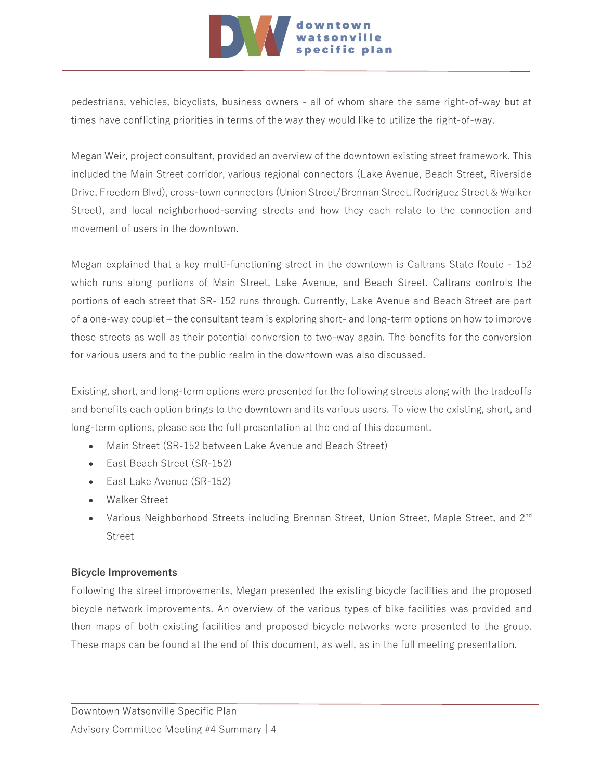

pedestrians, vehicles, bicyclists, business owners - all of whom share the same right-of-way but at times have conflicting priorities in terms of the way they would like to utilize the right-of-way.

Megan Weir, project consultant, provided an overview of the downtown existing street framework. This included the Main Street corridor, various regional connectors (Lake Avenue, Beach Street, Riverside Drive, Freedom Blvd), cross-town connectors (Union Street/Brennan Street, Rodriguez Street & Walker Street), and local neighborhood-serving streets and how they each relate to the connection and movement of users in the downtown.

Megan explained that a key multi-functioning street in the downtown is Caltrans State Route - 152 which runs along portions of Main Street, Lake Avenue, and Beach Street. Caltrans controls the portions of each street that SR- 152 runs through. Currently, Lake Avenue and Beach Street are part of a one-way couplet – the consultant team is exploring short- and long-term options on how to improve these streets as well as their potential conversion to two-way again. The benefits for the conversion for various users and to the public realm in the downtown was also discussed.

Existing, short, and long-term options were presented for the following streets along with the tradeoffs and benefits each option brings to the downtown and its various users. To view the existing, short, and long-term options, please see the full presentation at the end of this document.

- Main Street (SR-152 between Lake Avenue and Beach Street)
- East Beach Street (SR-152)
- East Lake Avenue (SR-152)
- Walker Street
- Various Neighborhood Streets including Brennan Street, Union Street, Maple Street, and 2<sup>nd</sup> Street

#### **Bicycle Improvements**

Following the street improvements, Megan presented the existing bicycle facilities and the proposed bicycle network improvements. An overview of the various types of bike facilities was provided and then maps of both existing facilities and proposed bicycle networks were presented to the group. These maps can be found at the end of this document, as well, as in the full meeting presentation.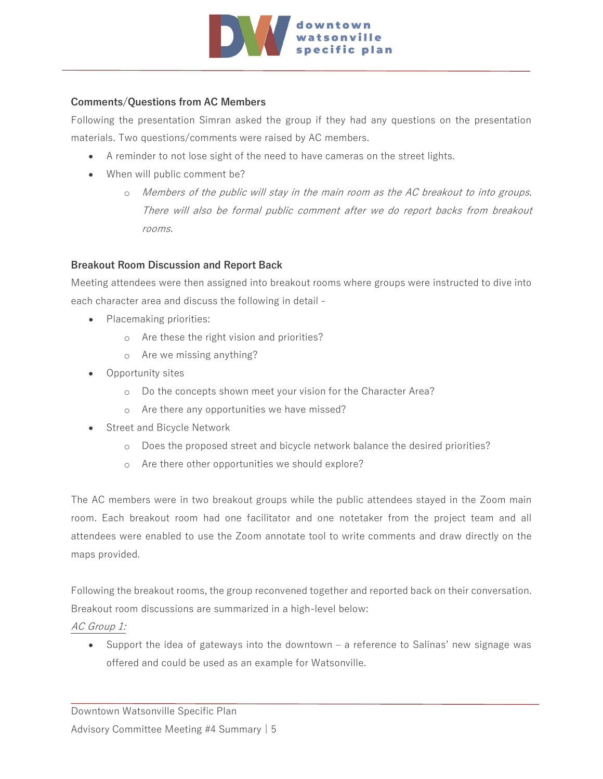

#### **Comments/Questions from AC Members**

Following the presentation Simran asked the group if they had any questions on the presentation materials. Two questions/comments were raised by AC members.

- A reminder to not lose sight of the need to have cameras on the street lights.
- When will public comment be?
	- o Members of the public will stay in the main room as the AC breakout to into groups. There will also be formal public comment after we do report backs from breakout rooms.

#### **Breakout Room Discussion and Report Back**

Meeting attendees were then assigned into breakout rooms where groups were instructed to dive into each character area and discuss the following in detail -

- Placemaking priorities:
	- o Are these the right vision and priorities?
	- o Are we missing anything?
- Opportunity sites
	- o Do the concepts shown meet your vision for the Character Area?
	- o Are there any opportunities we have missed?
- Street and Bicycle Network
	- o Does the proposed street and bicycle network balance the desired priorities?
	- o Are there other opportunities we should explore?

The AC members were in two breakout groups while the public attendees stayed in the Zoom main room. Each breakout room had one facilitator and one notetaker from the project team and all attendees were enabled to use the Zoom annotate tool to write comments and draw directly on the maps provided.

Following the breakout rooms, the group reconvened together and reported back on their conversation. Breakout room discussions are summarized in a high-level below:

AC Group 1:

• Support the idea of gateways into the downtown – a reference to Salinas' new signage was offered and could be used as an example for Watsonville.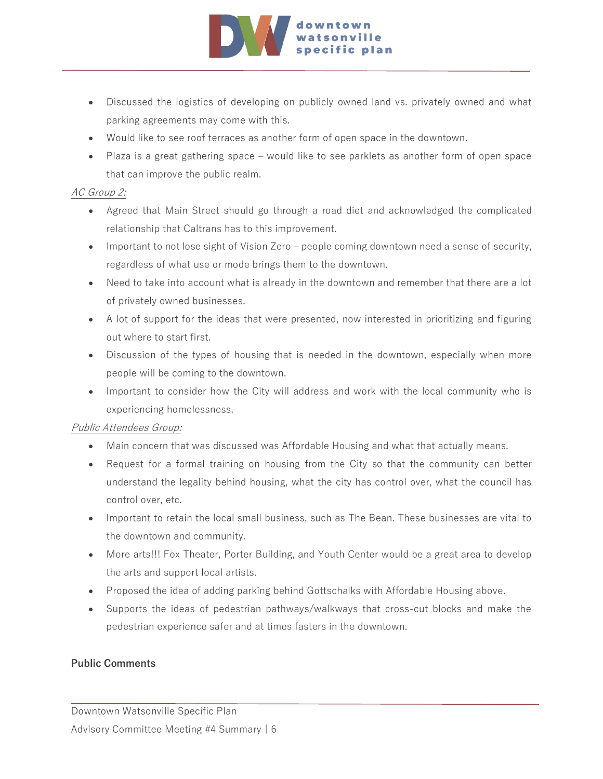

- Discussed the logistics of developing on publicly owned land vs. privately owned and what parking agreements may come with this.
- Would like to see roof terraces as another form of open space in the downtown.
- Plaza is a great gathering space would like to see parklets as another form of open space that can improve the public realm.

#### AC Group 2:

- Agreed that Main Street should go through a road diet and acknowledged the complicated relationship that Caltrans has to this improvement.
- Important to not lose sight of Vision Zero people coming downtown need a sense of security, regardless of what use or mode brings them to the downtown.
- Need to take into account what is already in the downtown and remember that there are a lot of privately owned businesses.
- A lot of support for the ideas that were presented, now interested in prioritizing and figuring out where to start first.
- Discussion of the types of housing that is needed in the downtown, especially when more people will be coming to the downtown.
- Important to consider how the City will address and work with the local community who is experiencing homelessness.

#### Public Attendees Group:

- Main concern that was discussed was Affordable Housing and what that actually means.
- Request for a formal training on housing from the City so that the community can better understand the legality behind housing, what the city has control over, what the council has control over, etc.
- Important to retain the local small business, such as The Bean. These businesses are vital to the downtown and community.
- More arts!!! Fox Theater, Porter Building, and Youth Center would be a great area to develop the arts and support local artists.
- Proposed the idea of adding parking behind Gottschalks with Affordable Housing above.
- Supports the ideas of pedestrian pathways/walkways that cross-cut blocks and make the pedestrian experience safer and at times fasters in the downtown.

#### **Public Comments**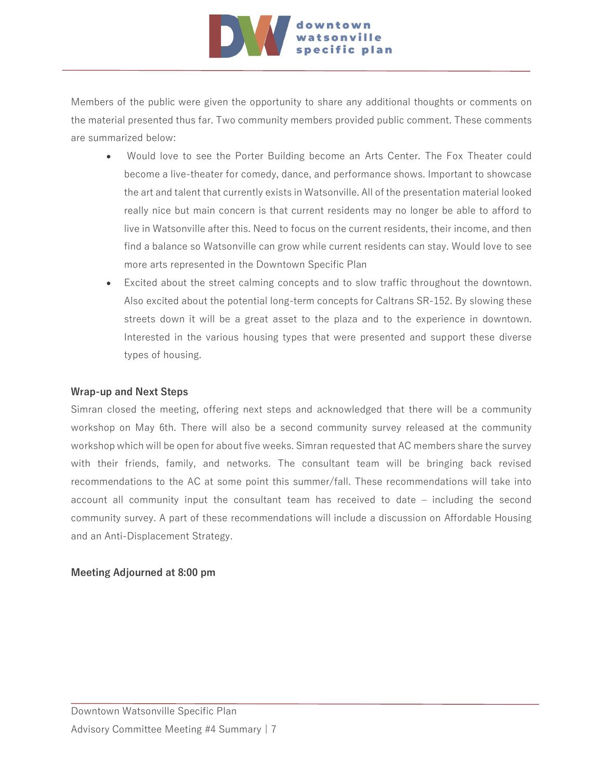

Members of the public were given the opportunity to share any additional thoughts or comments on the material presented thus far. Two community members provided public comment. These comments are summarized below:

- Would love to see the Porter Building become an Arts Center. The Fox Theater could become a live-theater for comedy, dance, and performance shows. Important to showcase the art and talent that currently exists in Watsonville. All of the presentation material looked really nice but main concern is that current residents may no longer be able to afford to live in Watsonville after this. Need to focus on the current residents, their income, and then find a balance so Watsonville can grow while current residents can stay. Would love to see more arts represented in the Downtown Specific Plan
- Excited about the street calming concepts and to slow traffic throughout the downtown. Also excited about the potential long-term concepts for Caltrans SR-152. By slowing these streets down it will be a great asset to the plaza and to the experience in downtown. Interested in the various housing types that were presented and support these diverse types of housing.

#### **Wrap-up and Next Steps**

Simran closed the meeting, offering next steps and acknowledged that there will be a community workshop on May 6th. There will also be a second community survey released at the community workshop which will be open for about five weeks. Simran requested that AC members share the survey with their friends, family, and networks. The consultant team will be bringing back revised recommendations to the AC at some point this summer/fall. These recommendations will take into account all community input the consultant team has received to date – including the second community survey. A part of these recommendations will include a discussion on Affordable Housing and an Anti-Displacement Strategy.

#### **Meeting Adjourned at 8:00 pm**